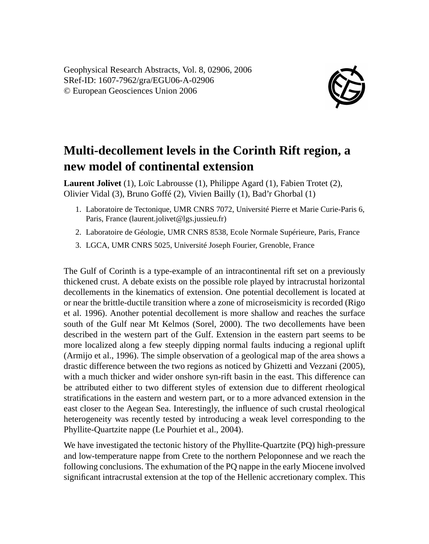

## **Multi-decollement levels in the Corinth Rift region, a new model of continental extension**

**Laurent Jolivet** (1), Loïc Labrousse (1), Philippe Agard (1), Fabien Trotet (2), Olivier Vidal (3), Bruno Goffé (2), Vivien Bailly (1), Bad'r Ghorbal (1)

- 1. Laboratoire de Tectonique, UMR CNRS 7072, Université Pierre et Marie Curie-Paris 6, Paris, France (laurent.jolivet@lgs.jussieu.fr)
- 2. Laboratoire de Géologie, UMR CNRS 8538, Ecole Normale Supérieure, Paris, France
- 3. LGCA, UMR CNRS 5025, Université Joseph Fourier, Grenoble, France

The Gulf of Corinth is a type-example of an intracontinental rift set on a previously thickened crust. A debate exists on the possible role played by intracrustal horizontal decollements in the kinematics of extension. One potential decollement is located at or near the brittle-ductile transition where a zone of microseismicity is recorded (Rigo et al. 1996). Another potential decollement is more shallow and reaches the surface south of the Gulf near Mt Kelmos (Sorel, 2000). The two decollements have been described in the western part of the Gulf. Extension in the eastern part seems to be more localized along a few steeply dipping normal faults inducing a regional uplift (Armijo et al., 1996). The simple observation of a geological map of the area shows a drastic difference between the two regions as noticed by Ghizetti and Vezzani (2005), with a much thicker and wider onshore syn-rift basin in the east. This difference can be attributed either to two different styles of extension due to different rheological stratifications in the eastern and western part, or to a more advanced extension in the east closer to the Aegean Sea. Interestingly, the influence of such crustal rheological heterogeneity was recently tested by introducing a weak level corresponding to the Phyllite-Quartzite nappe (Le Pourhiet et al., 2004).

We have investigated the tectonic history of the Phyllite-Quartzite (PQ) high-pressure and low-temperature nappe from Crete to the northern Peloponnese and we reach the following conclusions. The exhumation of the PQ nappe in the early Miocene involved significant intracrustal extension at the top of the Hellenic accretionary complex. This